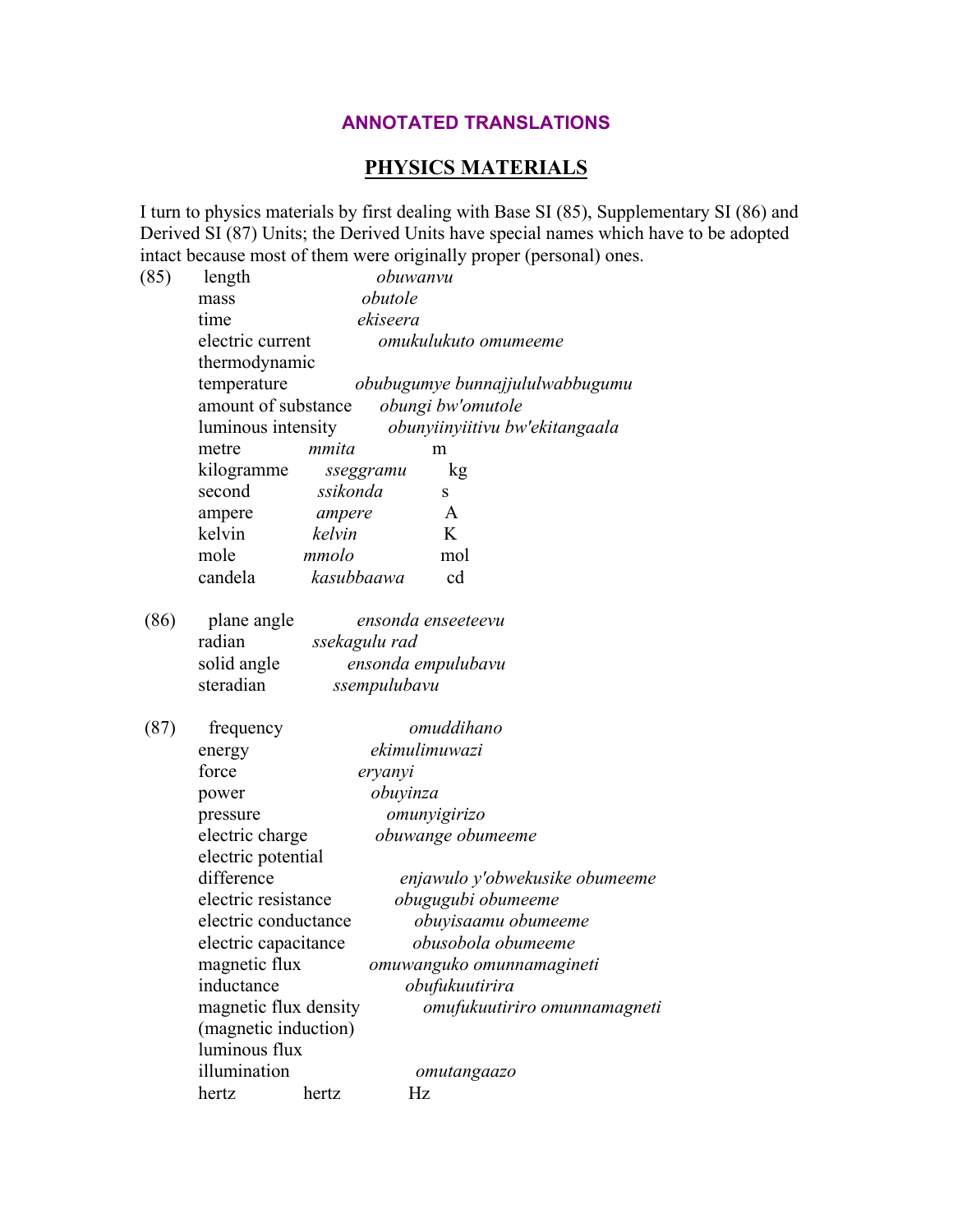## **ANNOTATED TRANSLATIONS**

## **PHYSICS MATERIALS**

I turn to physics materials by first dealing with Base SI (85), Supplementary SI (86) and Derived SI (87) Units; the Derived Units have special names which have to be adopted intact because most of them were originally proper (personal) ones.

|      |                                                      |            |              | miaci occause most of them were originally proper (personal) ones. |  |  |
|------|------------------------------------------------------|------------|--------------|--------------------------------------------------------------------|--|--|
| (85) | length                                               |            | obuwanvu     |                                                                    |  |  |
|      | mass                                                 | obutole    |              |                                                                    |  |  |
|      | time                                                 |            | ekiseera     |                                                                    |  |  |
|      | electric current<br>omukulukuto omumeeme             |            |              |                                                                    |  |  |
|      | thermodynamic                                        |            |              |                                                                    |  |  |
|      | temperature                                          |            |              | obubugumye bunnajjululwabbugumu                                    |  |  |
|      | amount of substance<br>obungi bw'omutole             |            |              |                                                                    |  |  |
|      | obunyiinyiitivu bw'ekitangaala<br>luminous intensity |            |              |                                                                    |  |  |
|      | metre                                                | mmita      |              | m                                                                  |  |  |
|      | kilogramme                                           |            | sseggramu    | kg                                                                 |  |  |
|      | second                                               | ssikonda   |              | S                                                                  |  |  |
|      | ampere                                               | ampere     |              | A                                                                  |  |  |
|      | kelvin                                               | kelvin     |              | K                                                                  |  |  |
|      | mole                                                 | mmolo      |              | mol                                                                |  |  |
|      | candela                                              | kasubbaawa |              | cd                                                                 |  |  |
| (86) | plane angle<br>ensonda enseeteevu                    |            |              |                                                                    |  |  |
|      | radian<br>ssekagulu rad                              |            |              |                                                                    |  |  |
|      | solid angle                                          |            |              | ensonda empulubavu                                                 |  |  |
|      | steradian                                            |            | ssempulubavu |                                                                    |  |  |
|      |                                                      |            |              |                                                                    |  |  |
| (87) | frequency                                            |            |              | omuddihano                                                         |  |  |
|      | ekimulimuwazi<br>energy                              |            |              |                                                                    |  |  |
|      | force<br>eryanyi                                     |            |              |                                                                    |  |  |
|      | obuyinza<br>power<br>omunyigirizo<br>pressure        |            |              |                                                                    |  |  |
|      |                                                      |            |              |                                                                    |  |  |
|      | electric charge<br>obuwange obumeeme                 |            |              |                                                                    |  |  |
|      | electric potential                                   |            |              |                                                                    |  |  |
|      | difference                                           |            |              | enjawulo y'obwekusike obumeeme                                     |  |  |
|      | electric resistance<br>obugugubi obumeeme            |            |              |                                                                    |  |  |
|      | electric conductance<br>obuyisaamu obumeeme          |            |              |                                                                    |  |  |
|      | electric capacitance<br>obusobola obumeeme           |            |              |                                                                    |  |  |
|      | magnetic flux                                        |            |              | omuwanguko omunnamagineti                                          |  |  |
|      | inductance                                           |            |              | obufukuutirira                                                     |  |  |
|      | magnetic flux density                                |            |              | omufukuutiriro omunnamagneti                                       |  |  |
|      | (magnetic induction)                                 |            |              |                                                                    |  |  |
|      | luminous flux                                        |            |              |                                                                    |  |  |
|      | illumination                                         |            |              | omutangaazo                                                        |  |  |
|      | hertz                                                | hertz      | Hz           |                                                                    |  |  |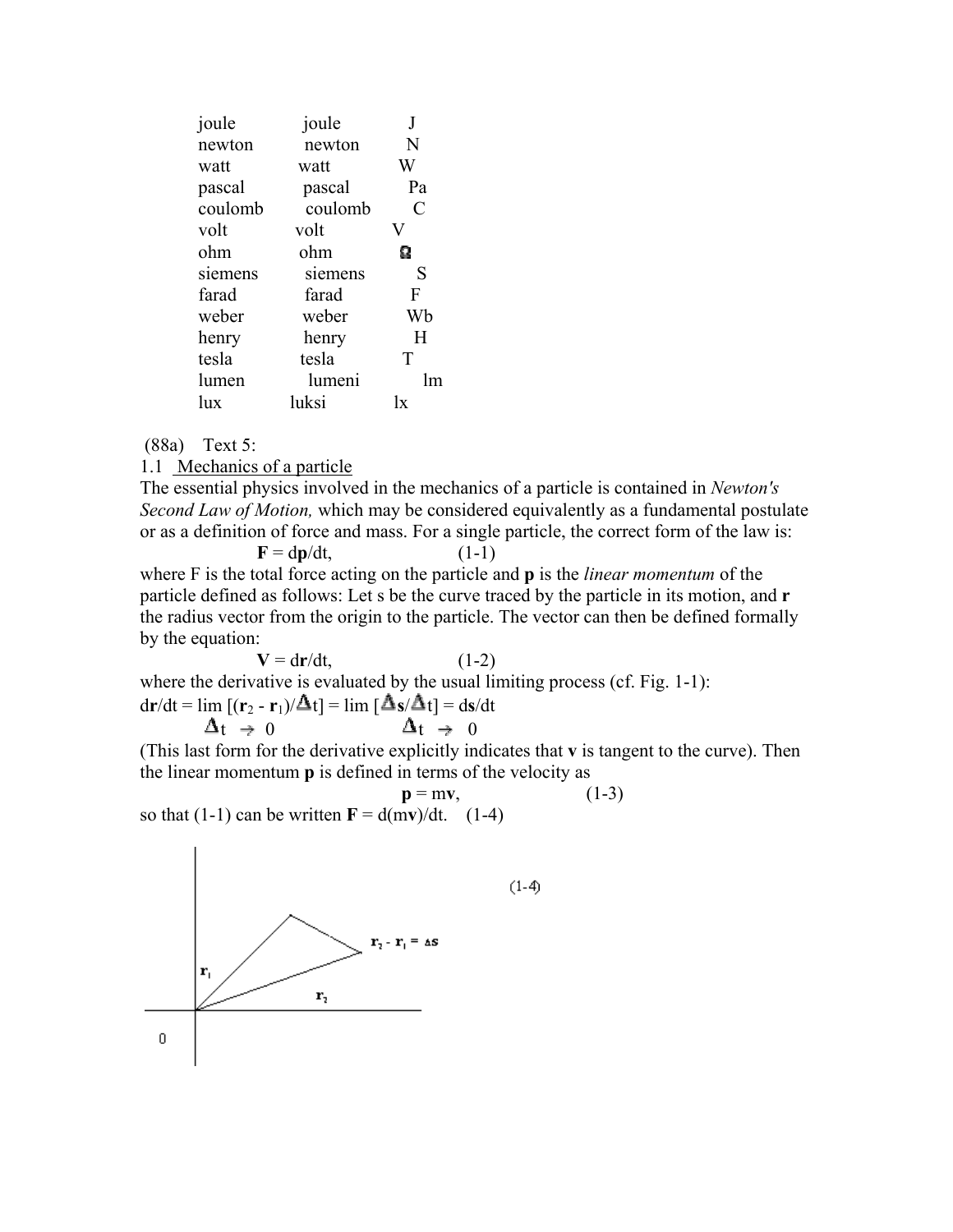| joule   | joule   |    |
|---------|---------|----|
| newton  | newton  | N  |
| watt    | watt    | W  |
| pascal  | pascal  | Pa |
| coulomb | coulomb | C  |
| volt    | volt    |    |
| ohm     | ohm     | Ω  |
| siemens | siemens | S  |
| farad   | farad   | F  |
| weber   | weber   | Wb |
| henry   | henry   | H  |
| tesla   | tesla   | T  |
| lumen   | lumeni  | Im |
| lux     | luksi   | lx |

(88a) Text 5:

## 1.1 Mechanics of a particle

The essential physics involved in the mechanics of a particle is contained in *Newton's Second Law of Motion,* which may be considered equivalently as a fundamental postulate or as a definition of force and mass. For a single particle, the correct form of the law is:

 $F = dp/dt$ , (1-1) where F is the total force acting on the particle and **p** is the *linear momentum* of the particle defined as follows: Let s be the curve traced by the particle in its motion, and **r** the radius vector from the origin to the particle. The vector can then be defined formally by the equation:

 $V = dr/dt$ , (1-2) where the derivative is evaluated by the usual limiting process (cf. Fig. 1-1):  $dr/dt = \lim_{t \to \infty} \left[ \frac{\Delta_s}{\Delta_t} \right] = \lim_{t \to \infty} \left[ \frac{\Delta_s}{\Delta_t} \right] = ds/dt$  $\Delta t \rightarrow 0$   $\Delta t \rightarrow 0$ 

(This last form for the derivative explicitly indicates that **v** is tangent to the curve). Then the linear momentum **p** is defined in terms of the velocity as

so that (1-1) can be written 
$$
\mathbf{F} = d(m\mathbf{v})/dt
$$
. (1-4)



 $(1-4)$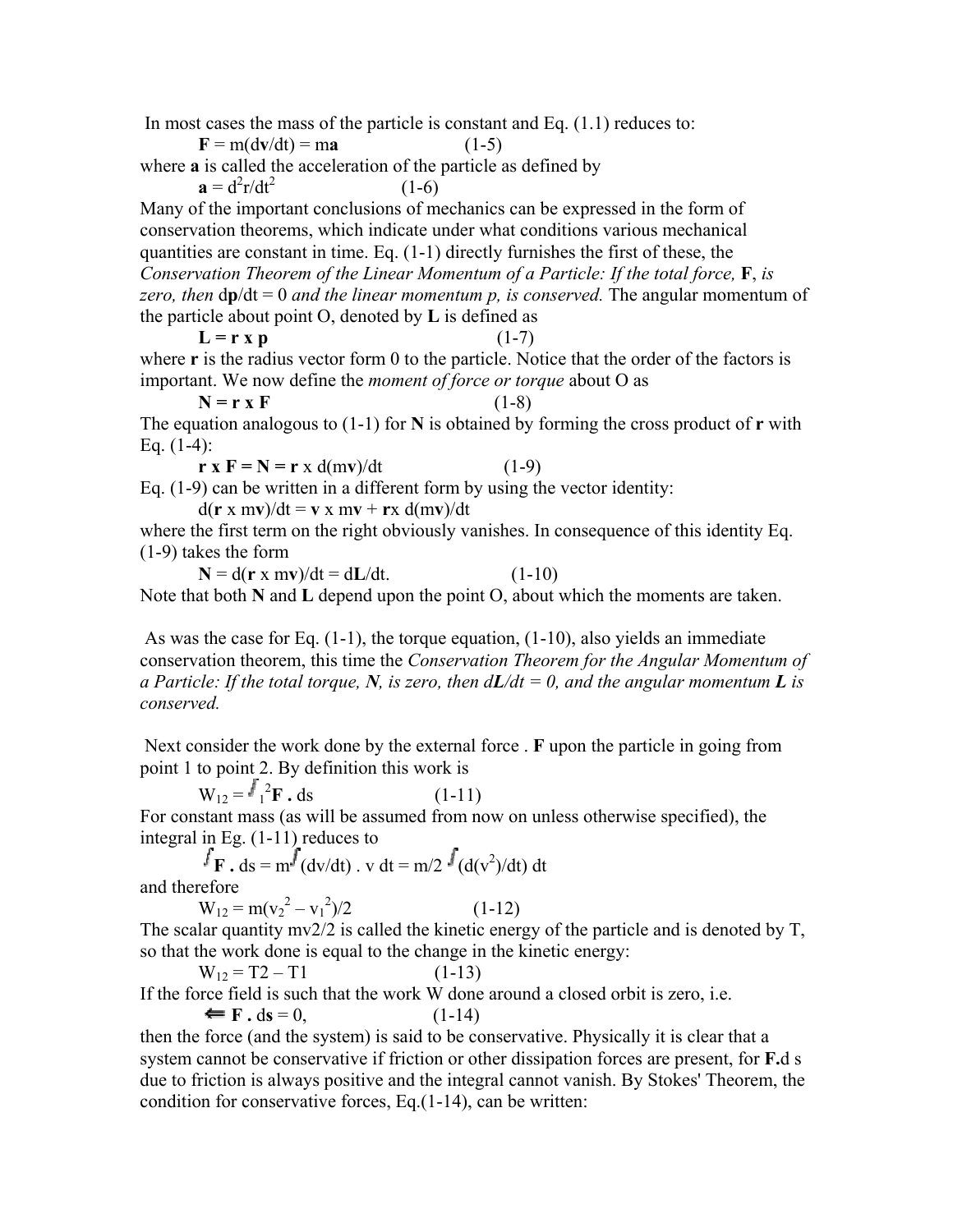In most cases the mass of the particle is constant and Eq. (1.1) reduces to:

 $F = m(dv/dt) = ma$  (1-5)

where **a** is called the acceleration of the particle as defined by

 $\mathbf{a} = d^2\mathbf{r}/dt^2$  $(1-6)$ 

Many of the important conclusions of mechanics can be expressed in the form of conservation theorems, which indicate under what conditions various mechanical quantities are constant in time. Eq. (1-1) directly furnishes the first of these, the *Conservation Theorem of the Linear Momentum of a Particle: If the total force,* **F**, *is zero, then* d**p**/dt = 0 *and the linear momentum p, is conserved.* The angular momentum of the particle about point O, denoted by **L** is defined as

 $L = r x p$  (1-7)

where **r** is the radius vector form 0 to the particle. Notice that the order of the factors is important. We now define the *moment of force or torque* about O as

 $N = r \times F$  (1-8) The equation analogous to (1-1) for **N** is obtained by forming the cross product of **r** with Eq.  $(1-4)$ :

 $r x F = N = r x d(mv)/dt$  (1-9)

Eq. (1-9) can be written in a different form by using the vector identity:

 $d(\mathbf{r} \times \mathbf{m}\mathbf{v})/dt = \mathbf{v} \times \mathbf{m}\mathbf{v} + \mathbf{r}\times d(\mathbf{m}\mathbf{v})/dt$ 

where the first term on the right obviously vanishes. In consequence of this identity Eq. (1-9) takes the form

 $N = d(r x mv)/dt = dL/dt.$  (1-10) Note that both **N** and **L** depend upon the point O, about which the moments are taken.

As was the case for Eq.  $(1-1)$ , the torque equation,  $(1-10)$ , also yields an immediate conservation theorem, this time the *Conservation Theorem for the Angular Momentum of a Particle: If the total torque, N, is zero, then*  $dL/dt = 0$ *, and the angular momentum L is conserved.*

 Next consider the work done by the external force . **F** upon the particle in going from point 1 to point 2. By definition this work is

 $W_{12} = \frac{J^2}{1^2}$  $(1-11)$ For constant mass (as will be assumed from now on unless otherwise specified), the integral in Eg. (1-11) reduces to

**F** . ds =  $m^f$  (dv/dt) . v dt =  $m/2$   $\frac{f}{f}$  (d(v<sup>2</sup>)/dt) dt

and therefore

 $W_{12} = m(v_2^2 - v_1^2)$  $(1-12)$ The scalar quantity mv2/2 is called the kinetic energy of the particle and is denoted by T,

so that the work done is equal to the change in the kinetic energy:

 $W_{12} = T2 - T1$  (1-13) If the force field is such that the work W done around a closed orbit is zero, i.e.

 $F \cdot ds = 0,$  (1-14) then the force (and the system) is said to be conservative. Physically it is clear that a system cannot be conservative if friction or other dissipation forces are present, for **F.**d s due to friction is always positive and the integral cannot vanish. By Stokes' Theorem, the condition for conservative forces, Eq.(1-14), can be written: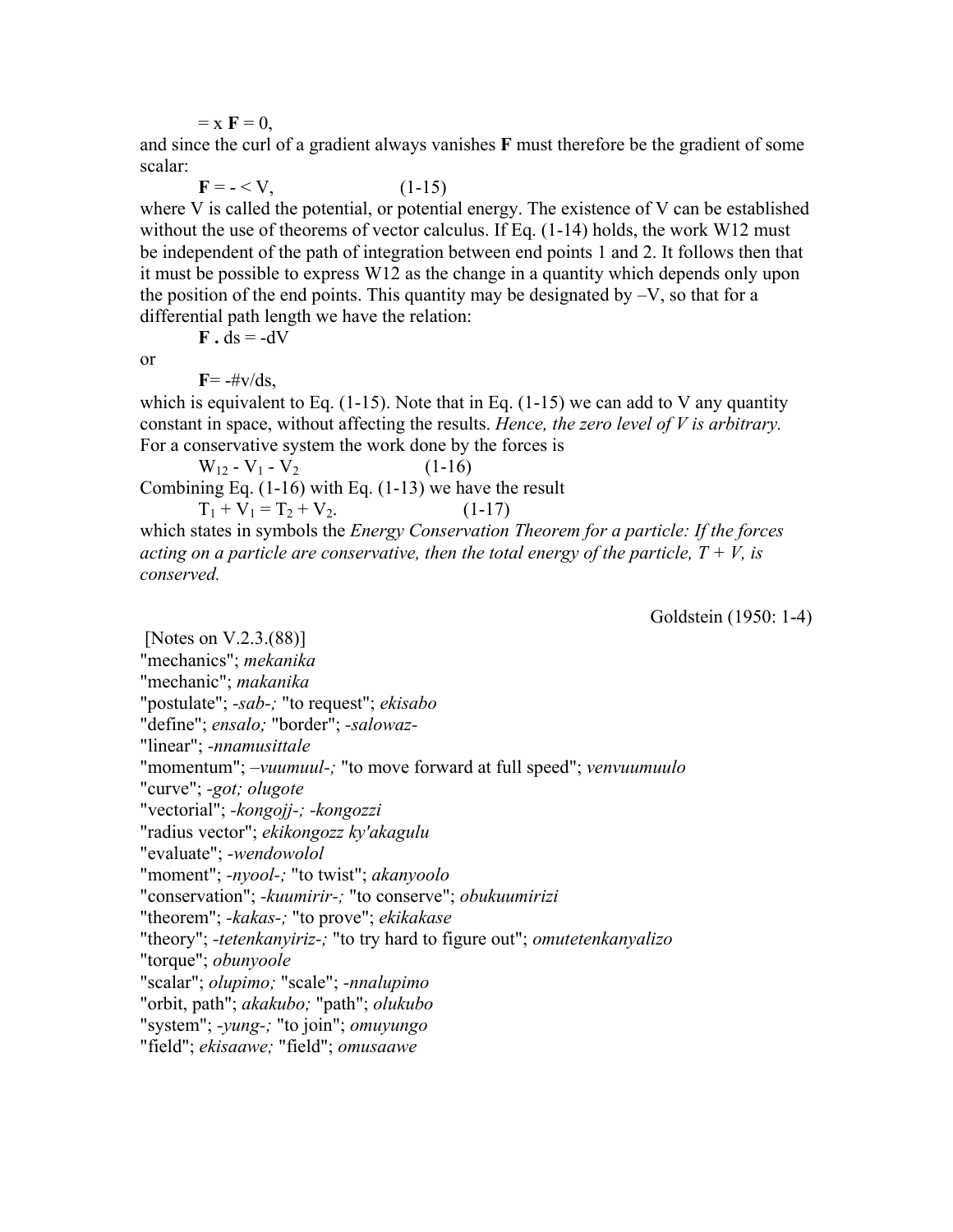$=$  x  $\mathbf{F} = 0$ ,

and since the curl of a gradient always vanishes **F** must therefore be the gradient of some scalar:

 $F = - \langle V, (1-15) \rangle$ where V is called the potential, or potential energy. The existence of V can be established without the use of theorems of vector calculus. If Eq.  $(1-14)$  holds, the work W12 must be independent of the path of integration between end points 1 and 2. It follows then that it must be possible to express W12 as the change in a quantity which depends only upon the position of the end points. This quantity may be designated by  $-V$ , so that for a differential path length we have the relation:

 $\bf{F} \cdot ds = -dV$ 

or

 $\mathbf{F} = -\# \mathbf{v}/d\mathbf{s}$ ,

which is equivalent to Eq.  $(1-15)$ . Note that in Eq.  $(1-15)$  we can add to V any quantity constant in space, without affecting the results. *Hence, the zero level of V is arbitrary.* For a conservative system the work done by the forces is

 $W_{12} - V_1 - V_2$  (1-16) Combining Eq. (1-16) with Eq. (1-13) we have the result

 $T_1 + V_1 = T_2 + V_2.$  (1-17) which states in symbols the *Energy Conservation Theorem for a particle: If the forces acting on a particle are conservative, then the total energy of the particle,*  $T + V$ *, is conserved.*

Goldstein (1950: 1-4)

 [Notes on V.2.3.(88)] "mechanics"; *mekanika* "mechanic"; *makanika* "postulate"; *-sab-;* "to request"; *ekisabo* "define"; *ensalo;* "border"; *-salowaz-* "linear"; *-nnamusittale* "momentum"; *–vuumuul-;* "to move forward at full speed"; *venvuumuulo* "curve"; *-got; olugote* "vectorial"; *-kongojj-; -kongozzi* "radius vector"; *ekikongozz ky'akagulu* "evaluate"; *-wendowolol* "moment"; *-nyool-;* "to twist"; *akanyoolo* "conservation"; *-kuumirir-;* "to conserve"; *obukuumirizi* "theorem"; *-kakas-;* "to prove"; *ekikakase* "theory"; *-tetenkanyiriz-;* "to try hard to figure out"; *omutetenkanyalizo* "torque"; *obunyoole* "scalar"; *olupimo;* "scale"; *-nnalupimo* "orbit, path"; *akakubo;* "path"; *olukubo* "system"; *-yung-;* "to join"; *omuyungo* "field"; *ekisaawe;* "field"; *omusaawe*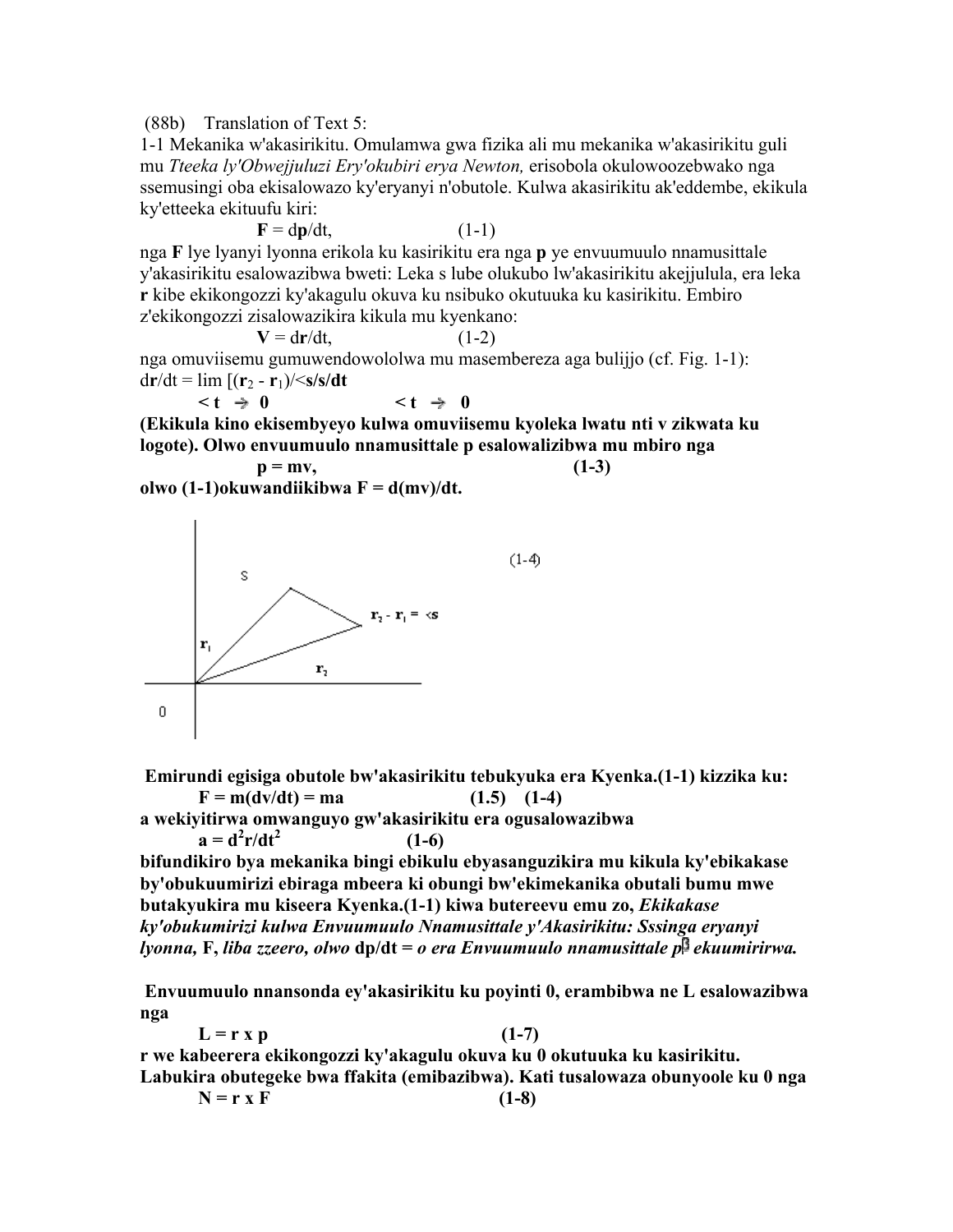(88b) Translation of Text 5:

1-1 Mekanika w'akasirikitu. Omulamwa gwa fizika ali mu mekanika w'akasirikitu guli mu *Tteeka ly'Obwejjuluzi Ery'okubiri erya Newton,* erisobola okulowoozebwako nga ssemusingi oba ekisalowazo ky'eryanyi n'obutole. Kulwa akasirikitu ak'eddembe, ekikula ky'etteeka ekituufu kiri:

$$
\mathbf{F} = \mathbf{dp}/\mathbf{dt},\tag{1-1}
$$

nga **F** lye lyanyi lyonna erikola ku kasirikitu era nga **p** ye envuumuulo nnamusittale y'akasirikitu esalowazibwa bweti: Leka s lube olukubo lw'akasirikitu akejjulula, era leka **r** kibe ekikongozzi ky'akagulu okuva ku nsibuko okutuuka ku kasirikitu. Embiro z'ekikongozzi zisalowazikira kikula mu kyenkano:

 $V = dr/dt$ , (1-2)

nga omuviisemu gumuwendowololwa mu masembereza aga bulijjo (cf. Fig. 1-1):  $dr/dt = \lim_{t \to \infty} \frac{\Gamma(r_2 - r_1)}{\sqrt{s}}$ 

$$
\lt t \; \Rightarrow \; 0 \qquad \qquad \lt t \; \Rightarrow \; 0
$$

**(Ekikula kino ekisembyeyo kulwa omuviisemu kyoleka lwatu nti v zikwata ku logote). Olwo envuumuulo nnamusittale p esalowalizibwa mu mbiro nga** 

 $p = mv$ , (1-3) **olwo (1-1)okuwandiikibwa F = d(mv)/dt.** 



 **Emirundi egisiga obutole bw'akasirikitu tebukyuka era Kyenka.(1-1) kizzika ku:**   $F = m(dv/dt) = ma$  (1.5) (1-4)

**a wekiyitirwa omwanguyo gw'akasirikitu era ogusalowazibwa**   $a = d^2r/dt^2$  **(1-6)** 

**bifundikiro bya mekanika bingi ebikulu ebyasanguzikira mu kikula ky'ebikakase by'obukuumirizi ebiraga mbeera ki obungi bw'ekimekanika obutali bumu mwe butakyukira mu kiseera Kyenka.(1-1) kiwa butereevu emu zo,** *Ekikakase ky'obukumirizi kulwa Envuumuulo Nnamusittale y'Akasirikitu: Sssinga eryanyi lyonna,* **F,** *liba zzeero, olwo* **dp/dt =** *o era Envuumuulo nnamusittale p ekuumirirwa.*

 **Envuumuulo nnansonda ey'akasirikitu ku poyinti 0, erambibwa ne L esalowazibwa nga** 

 $L = r x p$  (1-7) **r we kabeerera ekikongozzi ky'akagulu okuva ku 0 okutuuka ku kasirikitu. Labukira obutegeke bwa ffakita (emibazibwa). Kati tusalowaza obunyoole ku 0 nga**   $N = r x F$  (1-8)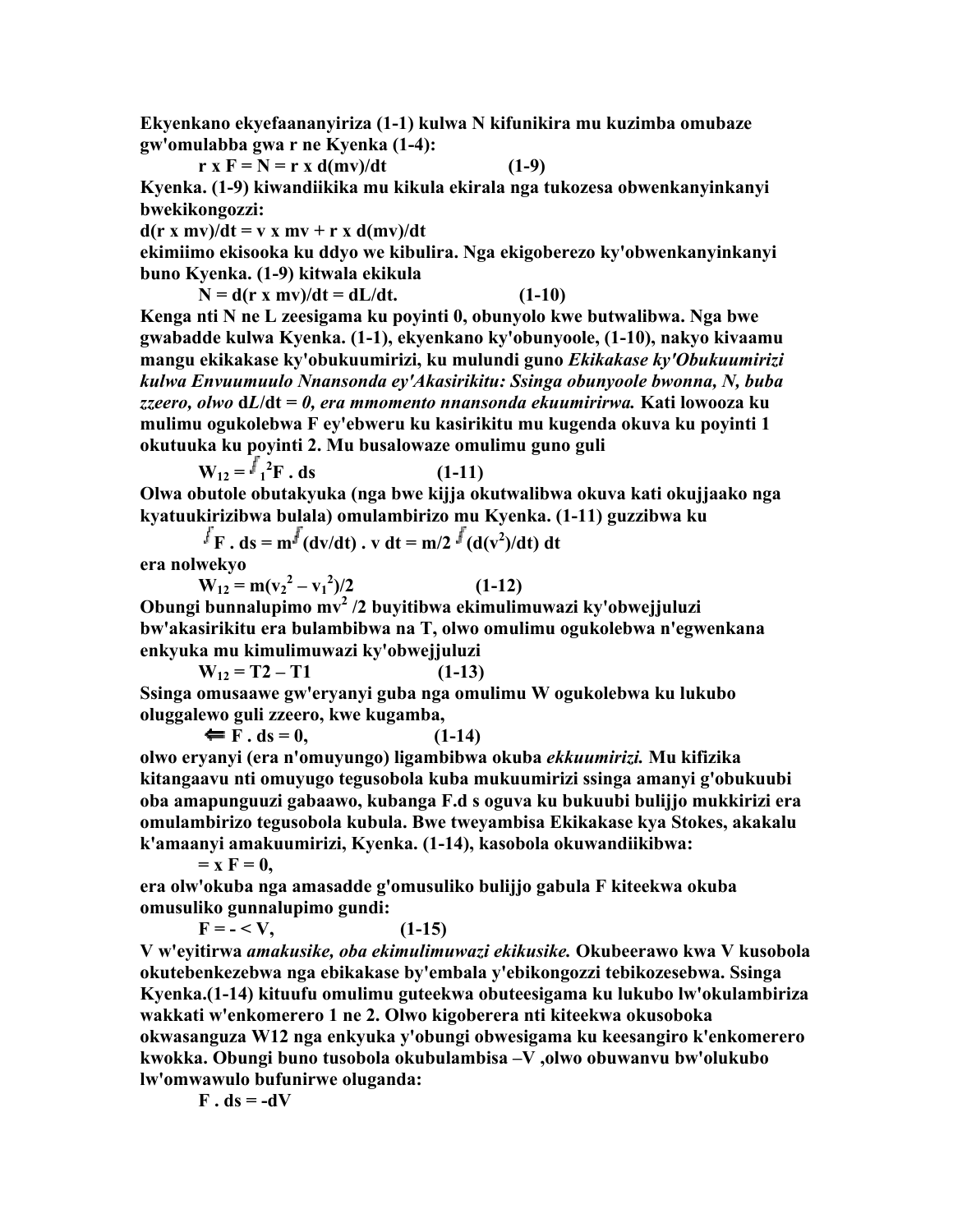**Ekyenkano ekyefaananyiriza (1-1) kulwa N kifunikira mu kuzimba omubaze gw'omulabba gwa r ne Kyenka (1-4):** 

$$
\mathbf{r} \times \mathbf{F} = \mathbf{N} = \mathbf{r} \times \mathbf{d}(\mathbf{m}\mathbf{v})/\mathbf{dt} \tag{1-9}
$$

**Kyenka. (1-9) kiwandiikika mu kikula ekirala nga tukozesa obwenkanyinkanyi bwekikongozzi:** 

 $d(r x mv)/dt = v x mv + r x d(mv)/dt$ 

**ekimiimo ekisooka ku ddyo we kibulira. Nga ekigoberezo ky'obwenkanyinkanyi buno Kyenka. (1-9) kitwala ekikula** 

 $N = d(r x mv)/dt = dL/dt.$  (1-10) **Kenga nti N ne L zeesigama ku poyinti 0, obunyolo kwe butwalibwa. Nga bwe gwabadde kulwa Kyenka. (1-1), ekyenkano ky'obunyoole, (1-10), nakyo kivaamu mangu ekikakase ky'obukuumirizi, ku mulundi guno** *Ekikakase ky'Obukuumirizi kulwa Envuumuulo Nnansonda ey'Akasirikitu: Ssinga obunyoole bwonna, N, buba zzeero, olwo* **d***L***/dt =** *0, era mmomento nnansonda ekuumirirwa.* **Kati lowooza ku mulimu ogukolebwa F ey'ebweru ku kasirikitu mu kugenda okuva ku poyinti 1 okutuuka ku poyinti 2. Mu busalowaze omulimu guno guli** 

$$
W_{12} = \frac{f_1^2}{F} \cdot ds
$$
 (1-11)

**Olwa obutole obutakyuka (nga bwe kijja okutwalibwa okuva kati okujjaako nga kyatuukirizibwa bulala) omulambirizo mu Kyenka. (1-11) guzzibwa ku** 

**F** . ds =  $m^f$  (dv/dt) . v dt =  $m/2$  <sup> $\int$ </sup> (d(v<sup>2</sup>)/dt) dt

**era nolwekyo** 

 $W_{12} = m(v_2^2 - v_1^2)$  $(1-12)$ 

**Obungi bunnalupimo mv2 /2 buyitibwa ekimulimuwazi ky'obwejjuluzi bw'akasirikitu era bulambibwa na T, olwo omulimu ogukolebwa n'egwenkana enkyuka mu kimulimuwazi ky'obwejjuluzi** 

 $W_{12} = T2 - T1$  (1-13) **Ssinga omusaawe gw'eryanyi guba nga omulimu W ogukolebwa ku lukubo oluggalewo guli zzeero, kwe kugamba,** 

 $F \cdot ds = 0,$  (1-14)

**olwo eryanyi (era n'omuyungo) ligambibwa okuba** *ekkuumirizi.* **Mu kifizika kitangaavu nti omuyugo tegusobola kuba mukuumirizi ssinga amanyi g'obukuubi oba amapunguuzi gabaawo, kubanga F.d s oguva ku bukuubi bulijjo mukkirizi era omulambirizo tegusobola kubula. Bwe tweyambisa Ekikakase kya Stokes, akakalu k'amaanyi amakuumirizi, Kyenka. (1-14), kasobola okuwandiikibwa:** 

 $=$ **x**  $F = 0$ ,

**era olw'okuba nga amasadde g'omusuliko bulijjo gabula F kiteekwa okuba omusuliko gunnalupimo gundi:** 

 $F = - \langle V, (1-15) \rangle$ 

**V w'eyitirwa** *amakusike, oba ekimulimuwazi ekikusike.* **Okubeerawo kwa V kusobola okutebenkezebwa nga ebikakase by'embala y'ebikongozzi tebikozesebwa. Ssinga Kyenka.(1-14) kituufu omulimu guteekwa obuteesigama ku lukubo lw'okulambiriza wakkati w'enkomerero 1 ne 2. Olwo kigoberera nti kiteekwa okusoboka okwasanguza W12 nga enkyuka y'obungi obwesigama ku keesangiro k'enkomerero kwokka. Obungi buno tusobola okubulambisa –V ,olwo obuwanvu bw'olukubo lw'omwawulo bufunirwe oluganda:** 

 $\bf{F} \cdot \bf{ds} = -dV$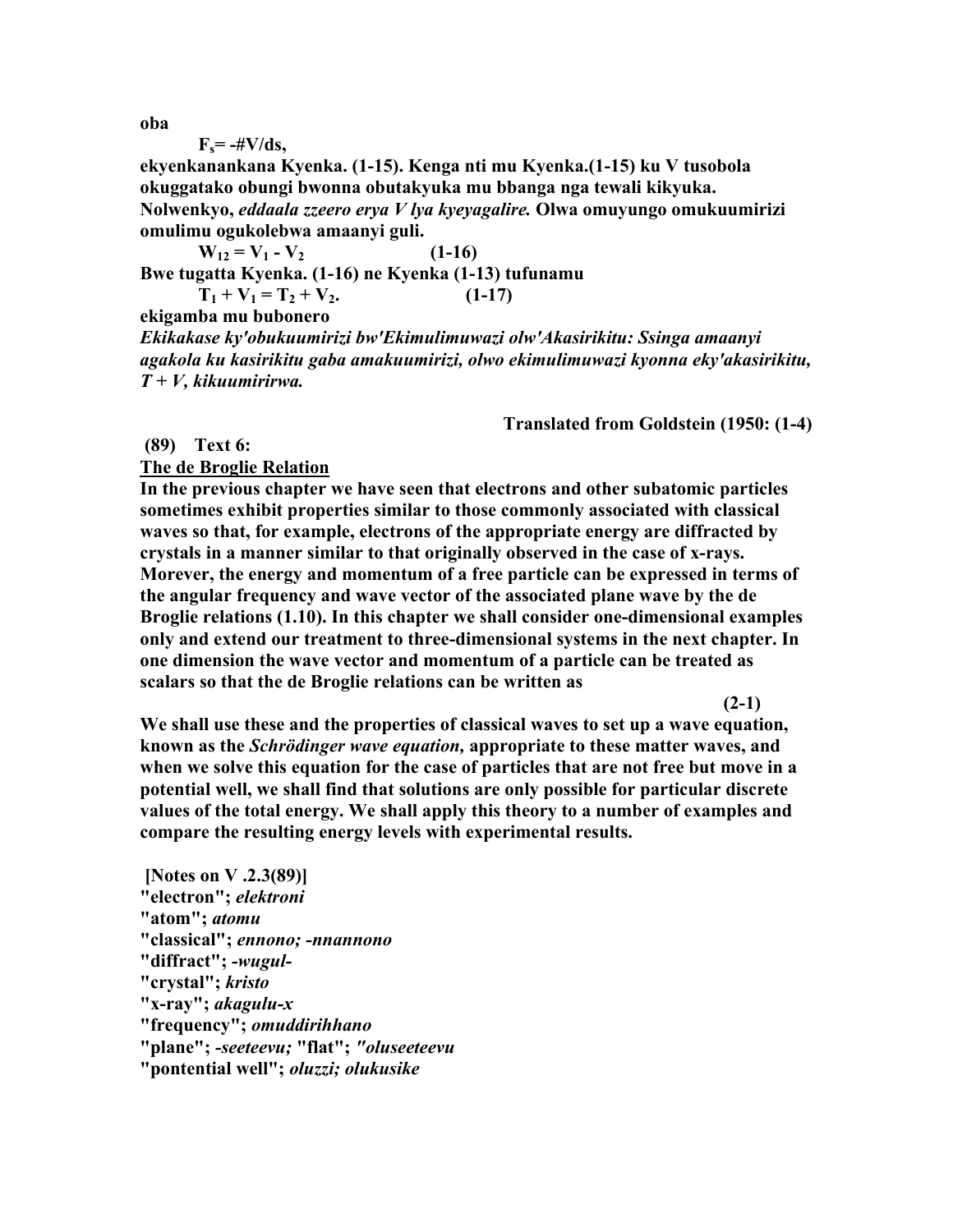**oba** 

$$
F_s = -\#V/ds,
$$

**ekyenkanankana Kyenka. (1-15). Kenga nti mu Kyenka.(1-15) ku V tusobola okuggatako obungi bwonna obutakyuka mu bbanga nga tewali kikyuka. Nolwenkyo,** *eddaala zzeero erya V lya kyeyagalire.* **Olwa omuyungo omukuumirizi omulimu ogukolebwa amaanyi guli.** 

 $W_{12} = V_1 - V_2$  (1-16)

**Bwe tugatta Kyenka. (1-16) ne Kyenka (1-13) tufunamu** 

 $T_1 + V_1 = T_2 + V_2.$  (1-17)

**ekigamba mu bubonero** 

*Ekikakase ky'obukuumirizi bw'Ekimulimuwazi olw'Akasirikitu: Ssinga amaanyi agakola ku kasirikitu gaba amakuumirizi, olwo ekimulimuwazi kyonna eky'akasirikitu, T + V, kikuumirirwa.*

**Translated from Goldstein (1950: (1-4)** 

 **(89) Text 6:** 

**The de Broglie Relation** 

**In the previous chapter we have seen that electrons and other subatomic particles sometimes exhibit properties similar to those commonly associated with classical waves so that, for example, electrons of the appropriate energy are diffracted by crystals in a manner similar to that originally observed in the case of x-rays. Morever, the energy and momentum of a free particle can be expressed in terms of the angular frequency and wave vector of the associated plane wave by the de Broglie relations (1.10). In this chapter we shall consider one-dimensional examples only and extend our treatment to three-dimensional systems in the next chapter. In one dimension the wave vector and momentum of a particle can be treated as scalars so that the de Broglie relations can be written as** 

**(2-1)** 

**We shall use these and the properties of classical waves to set up a wave equation, known as the** *Schrödinger wave equation,* **appropriate to these matter waves, and when we solve this equation for the case of particles that are not free but move in a potential well, we shall find that solutions are only possible for particular discrete values of the total energy. We shall apply this theory to a number of examples and compare the resulting energy levels with experimental results.** 

 **[Notes on V .2.3(89)] "electron";** *elektroni* **"atom";** *atomu* **"classical";** *ennono; -nnannono* **"diffract";** *-wugul-* **"crystal";** *kristo* **"x-ray";** *akagulu-x* **"frequency";** *omuddirihhano* **"plane";** *-seeteevu;* **"flat";** *"oluseeteevu* **"pontential well";** *oluzzi; olukusike*